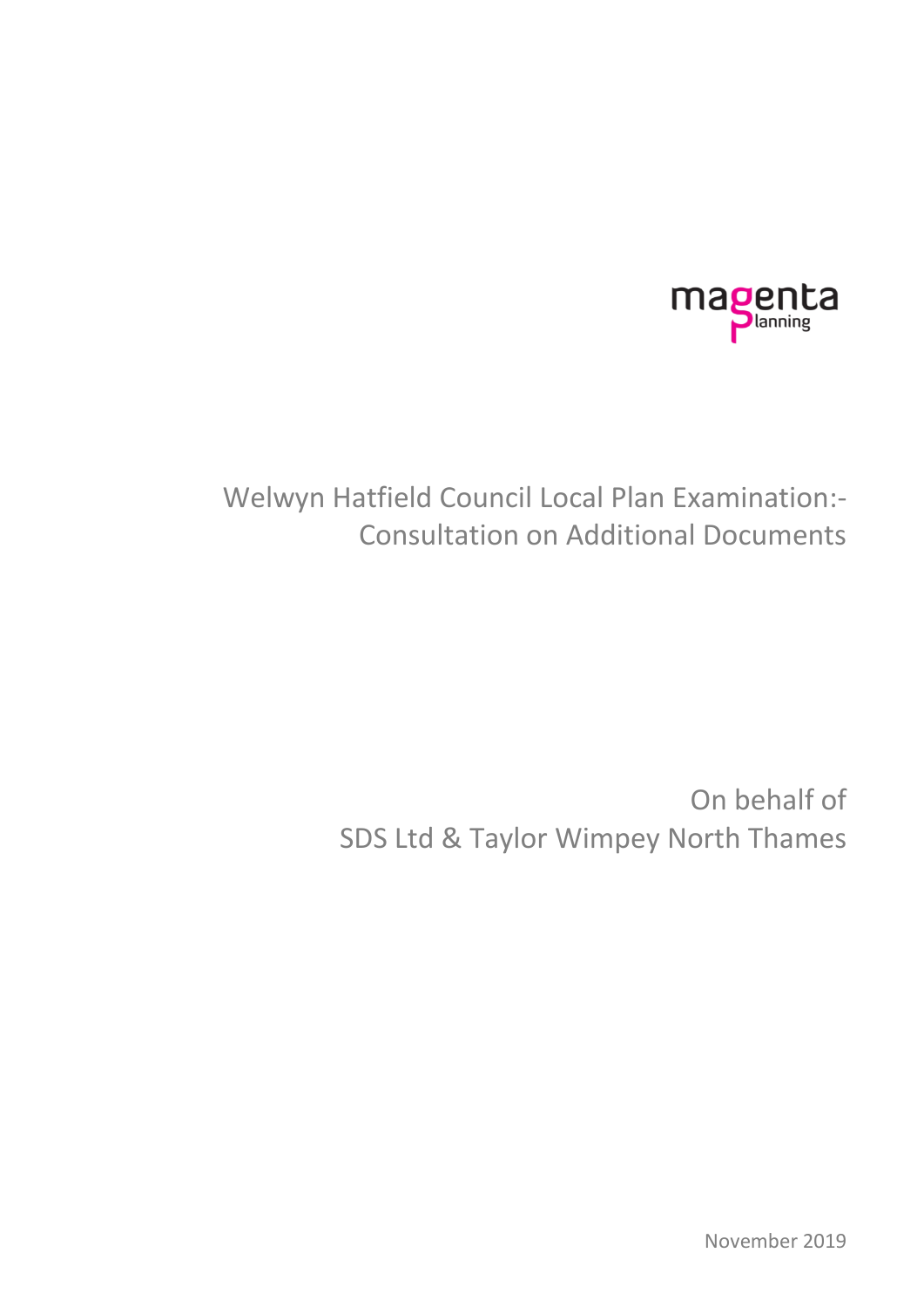

# Welwyn Hatfield Council Local Plan Examination:- Consultation on Additional Documents

# On behalf of SDS Ltd & Taylor Wimpey North Thames

November 2019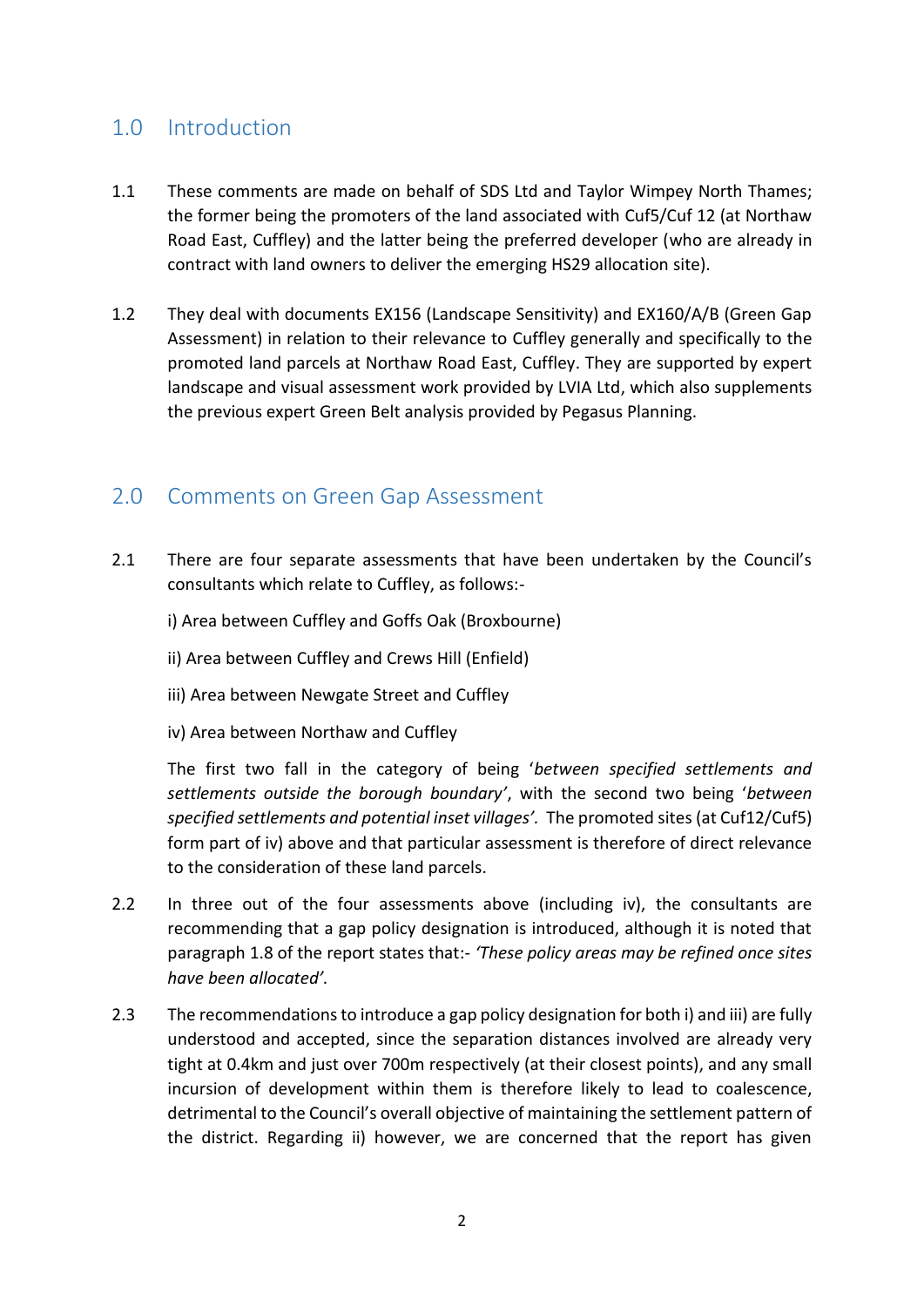# 1.0 Introduction

- 1.1 These comments are made on behalf of SDS Ltd and Taylor Wimpey North Thames; the former being the promoters of the land associated with Cuf5/Cuf 12 (at Northaw Road East, Cuffley) and the latter being the preferred developer (who are already in contract with land owners to deliver the emerging HS29 allocation site).
- 1.2 They deal with documents EX156 (Landscape Sensitivity) and EX160/A/B (Green Gap Assessment) in relation to their relevance to Cuffley generally and specifically to the promoted land parcels at Northaw Road East, Cuffley. They are supported by expert landscape and visual assessment work provided by LVIA Ltd, which also supplements the previous expert Green Belt analysis provided by Pegasus Planning.

#### 2.0 Comments on Green Gap Assessment

- 2.1 There are four separate assessments that have been undertaken by the Council's consultants which relate to Cuffley, as follows:
	- i) Area between Cuffley and Goffs Oak (Broxbourne)
	- ii) Area between Cuffley and Crews Hill (Enfield)
	- iii) Area between Newgate Street and Cuffley
	- iv) Area between Northaw and Cuffley

The first two fall in the category of being '*between specified settlements and settlements outside the borough boundary'*, with the second two being '*between specified settlements and potential inset villages'.* The promoted sites(at Cuf12/Cuf5) form part of iv) above and that particular assessment is therefore of direct relevance to the consideration of these land parcels.

- 2.2 In three out of the four assessments above (including iv), the consultants are recommending that a gap policy designation is introduced, although it is noted that paragraph 1.8 of the report states that:- *'These policy areas may be refined once sites have been allocated'.*
- 2.3 The recommendations to introduce a gap policy designation for both i) and iii) are fully understood and accepted, since the separation distances involved are already very tight at 0.4km and just over 700m respectively (at their closest points), and any small incursion of development within them is therefore likely to lead to coalescence, detrimental to the Council's overall objective of maintaining the settlement pattern of the district. Regarding ii) however, we are concerned that the report has given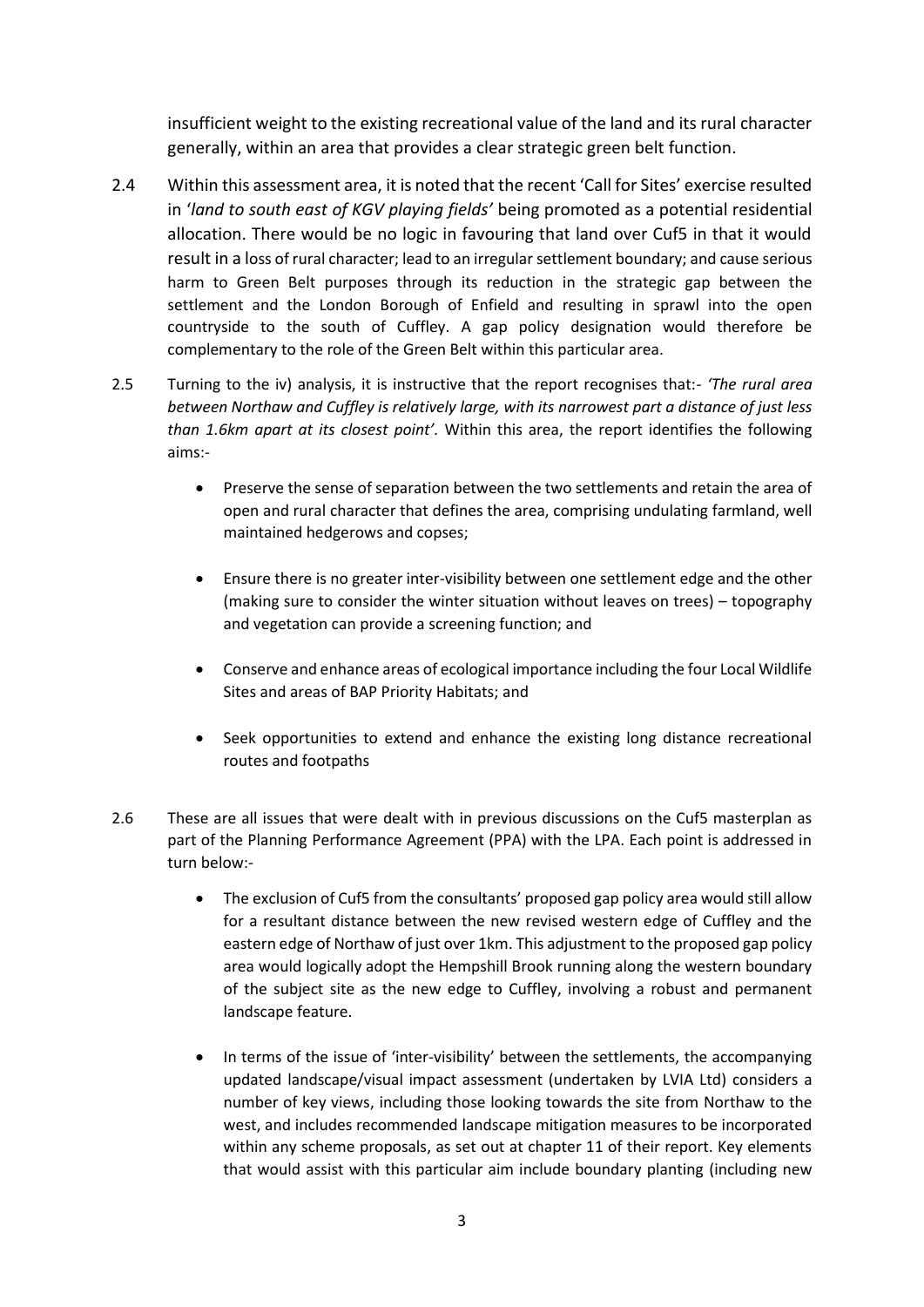insufficient weight to the existing recreational value of the land and its rural character generally, within an area that provides a clear strategic green belt function.

- 2.4 Within this assessment area, it is noted that the recent 'Call for Sites' exercise resulted in '*land to south east of KGV playing fields'* being promoted as a potential residential allocation. There would be no logic in favouring that land over Cuf5 in that it would result in a loss of rural character; lead to an irregular settlement boundary; and cause serious harm to Green Belt purposes through its reduction in the strategic gap between the settlement and the London Borough of Enfield and resulting in sprawl into the open countryside to the south of Cuffley. A gap policy designation would therefore be complementary to the role of the Green Belt within this particular area.
- 2.5 Turning to the iv) analysis, it is instructive that the report recognises that:- *'The rural area between Northaw and Cuffley is relatively large, with its narrowest part a distance of just less than 1.6km apart at its closest point'.* Within this area, the report identifies the following aims:-
	- Preserve the sense of separation between the two settlements and retain the area of open and rural character that defines the area, comprising undulating farmland, well maintained hedgerows and copses;
	- Ensure there is no greater inter-visibility between one settlement edge and the other (making sure to consider the winter situation without leaves on trees) – topography and vegetation can provide a screening function; and
	- Conserve and enhance areas of ecological importance including the four Local Wildlife Sites and areas of BAP Priority Habitats; and
	- Seek opportunities to extend and enhance the existing long distance recreational routes and footpaths
- 2.6 These are all issues that were dealt with in previous discussions on the Cuf5 masterplan as part of the Planning Performance Agreement (PPA) with the LPA. Each point is addressed in turn below:-
	- The exclusion of Cuf5 from the consultants' proposed gap policy area would still allow for a resultant distance between the new revised western edge of Cuffley and the eastern edge of Northaw of just over 1km. This adjustment to the proposed gap policy area would logically adopt the Hempshill Brook running along the western boundary of the subject site as the new edge to Cuffley, involving a robust and permanent landscape feature.
	- In terms of the issue of 'inter-visibility' between the settlements, the accompanying updated landscape/visual impact assessment (undertaken by LVIA Ltd) considers a number of key views, including those looking towards the site from Northaw to the west, and includes recommended landscape mitigation measures to be incorporated within any scheme proposals, as set out at chapter 11 of their report. Key elements that would assist with this particular aim include boundary planting (including new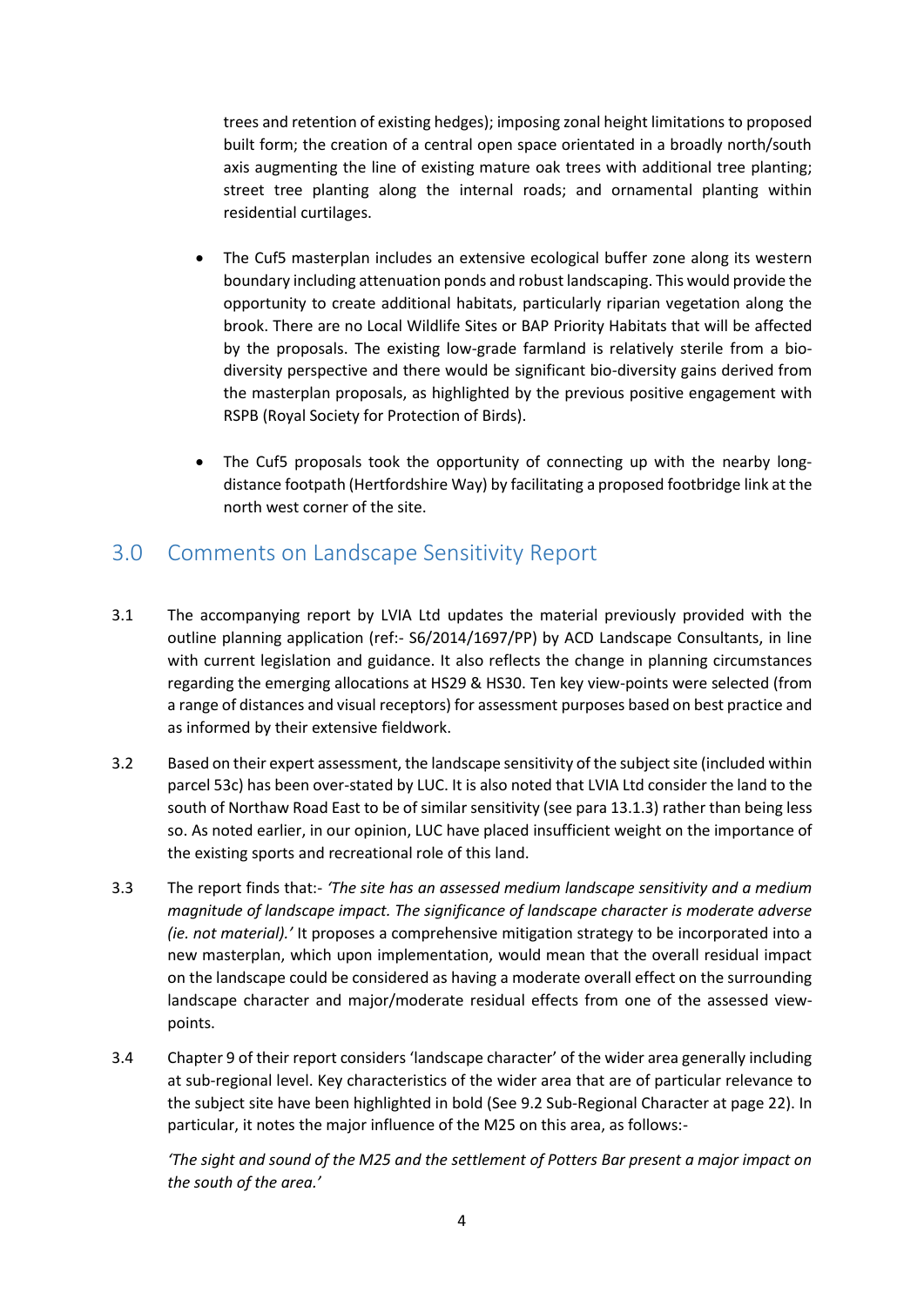trees and retention of existing hedges); imposing zonal height limitations to proposed built form; the creation of a central open space orientated in a broadly north/south axis augmenting the line of existing mature oak trees with additional tree planting; street tree planting along the internal roads; and ornamental planting within residential curtilages.

- The Cuf5 masterplan includes an extensive ecological buffer zone along its western boundary including attenuation ponds and robust landscaping. This would provide the opportunity to create additional habitats, particularly riparian vegetation along the brook. There are no Local Wildlife Sites or BAP Priority Habitats that will be affected by the proposals. The existing low-grade farmland is relatively sterile from a biodiversity perspective and there would be significant bio-diversity gains derived from the masterplan proposals, as highlighted by the previous positive engagement with RSPB (Royal Society for Protection of Birds).
- The Cuf5 proposals took the opportunity of connecting up with the nearby longdistance footpath (Hertfordshire Way) by facilitating a proposed footbridge link at the north west corner of the site.

## 3.0 Comments on Landscape Sensitivity Report

- 3.1 The accompanying report by LVIA Ltd updates the material previously provided with the outline planning application (ref:- S6/2014/1697/PP) by ACD Landscape Consultants, in line with current legislation and guidance. It also reflects the change in planning circumstances regarding the emerging allocations at HS29 & HS30. Ten key view-points were selected (from a range of distances and visual receptors) for assessment purposes based on best practice and as informed by their extensive fieldwork.
- 3.2 Based on their expert assessment, the landscape sensitivity of the subject site (included within parcel 53c) has been over-stated by LUC. It is also noted that LVIA Ltd consider the land to the south of Northaw Road East to be of similar sensitivity (see para 13.1.3) rather than being less so. As noted earlier, in our opinion, LUC have placed insufficient weight on the importance of the existing sports and recreational role of this land.
- 3.3 The report finds that:- *'The site has an assessed medium landscape sensitivity and a medium magnitude of landscape impact. The significance of landscape character is moderate adverse (ie. not material).'* It proposes a comprehensive mitigation strategy to be incorporated into a new masterplan, which upon implementation, would mean that the overall residual impact on the landscape could be considered as having a moderate overall effect on the surrounding landscape character and major/moderate residual effects from one of the assessed viewpoints.
- 3.4 Chapter 9 of their report considers 'landscape character' of the wider area generally including at sub-regional level. Key characteristics of the wider area that are of particular relevance to the subject site have been highlighted in bold (See 9.2 Sub-Regional Character at page 22). In particular, it notes the major influence of the M25 on this area, as follows:-

*'The sight and sound of the M25 and the settlement of Potters Bar present a major impact on the south of the area.'*